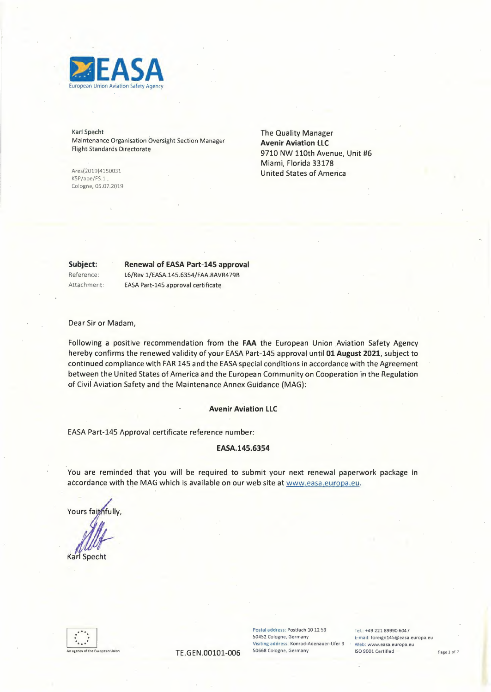

Karl Specht Maintenance Organisation Oversight Section Manager Flight Standards Directorate

Ares(2019)4150031 KSP/ape/FS.1, Cologne, 05.07.2019 The Quality Manager **Avenir Aviation LLC**  9710 NW 110th Avenue, Unit #6 Miami, Florida 33178 United States of America

**Subject:** 

# Renewal of EASA Part-145 **approval**

Reference: Attachment: L6/Rev 1/EASA.145.6354/FAA.8AVR479B EASA Part-145 approval certificate

Dear Sir or Madam,

Following a positive recommendation from the **FAA** the European Union Aviation Safety Agency hereby confirms the renewed validity of your EASA Part-145 approval until **01** August 2021, subject to continued compliance with FAR 145 and the EASA special conditions in accordance with the Agreement between the United States of America and the European Community on Cooperation in the Regulation of Civil Aviation Safety and the Maintenance Annex Guidance (MAG):

#### **Avenir Aviation LLC**

EASA Part-145 Approval certificate reference number:

### EASA.145.6354

You are reminded that you will be required to submit your next renewal paperwork package in accordance with the MAG which is available on our web site at www.easa.europa.eu.

Yours faithfully

**Karl Specht** 



Postal address: Postfach 10 12 53 Tel.: +49 221 89990 6047<br>50452 Cologne, Germany E-mail: foreign145@easa. **Visiting address: Konrad-Adenauer-Ufer 3 • Web: www.easa.europa.eu** 

50452 Cologne, **Germany** E-mail: foreign145@easa.europa.eu TE.GEN.00101-006 50668 Cologne, Germany iso 9001 Certified Page 1 of 2